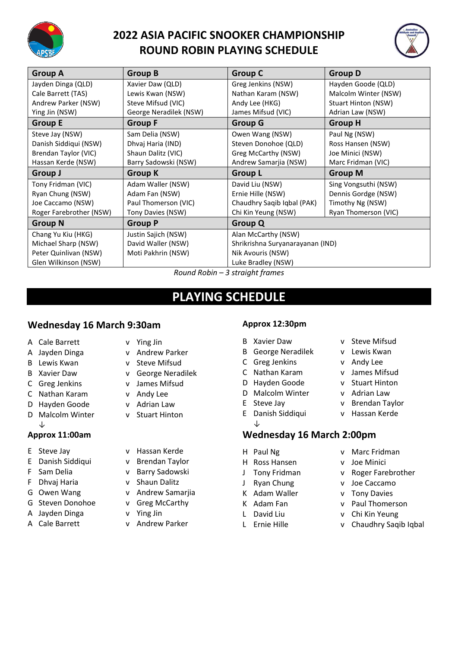

## **2022 ASIA PACIFIC SNOOKER CHAMPIONSHIP ROUND ROBIN PLAYING SCHEDULE**



| <b>Group A</b>          | <b>Group B</b>         | <b>Group C</b>                   | <b>Group D</b>       |
|-------------------------|------------------------|----------------------------------|----------------------|
| Jayden Dinga (QLD)      | Xavier Daw (QLD)       | Greg Jenkins (NSW)               | Hayden Goode (QLD)   |
| Cale Barrett (TAS)      | Lewis Kwan (NSW)       | Nathan Karam (NSW)               | Malcolm Winter (NSW) |
| Andrew Parker (NSW)     | Steve Mifsud (VIC)     | Andy Lee (HKG)                   | Stuart Hinton (NSW)  |
| Ying Jin (NSW)          | George Neradilek (NSW) | James Mifsud (VIC)               | Adrian Law (NSW)     |
| <b>Group E</b>          | <b>Group F</b>         | <b>Group G</b>                   | <b>Group H</b>       |
| Steve Jay (NSW)         | Sam Delia (NSW)        | Owen Wang (NSW)                  | Paul Ng (NSW)        |
| Danish Siddiqui (NSW)   | Dhvaj Haria (IND)      | Steven Donohoe (QLD)             | Ross Hansen (NSW)    |
| Brendan Taylor (VIC)    | Shaun Dalitz (VIC)     | Greg McCarthy (NSW)              | Joe Minici (NSW)     |
| Hassan Kerde (NSW)      | Barry Sadowski (NSW)   | Andrew Samarjia (NSW)            | Marc Fridman (VIC)   |
| <b>Group J</b>          | <b>Group K</b>         | <b>Group L</b>                   | <b>Group M</b>       |
| Tony Fridman (VIC)      | Adam Waller (NSW)      | David Liu (NSW)                  | Sing Vongsuthi (NSW) |
| Ryan Chung (NSW)        | Adam Fan (NSW)         | Ernie Hille (NSW)                | Dennis Gordge (NSW)  |
| Joe Caccamo (NSW)       | Paul Thomerson (VIC)   | Chaudhry Saqib Iqbal (PAK)       | Timothy Ng (NSW)     |
| Roger Farebrother (NSW) | Tony Davies (NSW)      | Chi Kin Yeung (NSW)              | Ryan Thomerson (VIC) |
| <b>Group N</b>          | <b>Group P</b>         | <b>Group Q</b>                   |                      |
| Chang Yu Kiu (HKG)      | Justin Sajich (NSW)    | Alan McCarthy (NSW)              |                      |
| Michael Sharp (NSW)     | David Waller (NSW)     | Shrikrishna Suryanarayanan (IND) |                      |
| Peter Quinlivan (NSW)   | Moti Pakhrin (NSW)     | Nik Avouris (NSW)                |                      |
| Glen Wilkinson (NSW)    |                        | Luke Bradley (NSW)               |                      |
|                         |                        |                                  |                      |

# **PLAYING SCHEDULE**

## **Wednesday 16 March 9:30am**

- A Cale Barrett v Ying Jin
- A Jayden Dinga v Andrew Parker
- B Lewis Kwan v Steve Mifsud
- 
- C Greg Jenkins v James Mifsud
- C Nathan Karam v Andy Lee
- D Hayden Goode v Adrian Law
- D Malcolm Winter v Stuart Hinton ↓

## **Approx 11:00am**

- 
- E Danish Siddiqui v Brendan Taylor
- 
- F Dhvaj Haria v Shaun Dalitz
- 
- G Steven Donohoe v Greg McCarthy
- A Jayden Dinga v Ying Jin
- 
- 
- 
- 
- B Xavier Daw v George Neradilek
	-
	-
	-
	-
- E Steve Jay v Hassan Kerde
	-
- F Sam Delia v Barry Sadowski
	-
- G Owen Wang v Andrew Samarjia
	-
	-
- A Cale Barrett v Andrew Parker

#### **Approx 12:30pm**

- B Xavier Daw v Steve Mifsud
- B George Neradilek v Lewis Kwan
- C Greg Jenkins v Andy Lee
- C Nathan Karam v James Mifsud
- D Hayden Goode v Stuart Hinton
- D Malcolm Winter v Adrian Law
- E Steve Jay v Brendan Taylor
- E Danish Siddiqui v Hassan Kerde ↓

## **Wednesday 16 March 2:00pm**

- 
- H Ross Hansen v Joe Minici
- 
- J Ryan Chung v Joe Caccamo
- K Adam Waller v Tony Davies
- 
- 
- 
- H Paul Ng v Marc Fridman
	-
- J Tony Fridman v Roger Farebrother
	-
	-
- K Adam Fan v Paul Thomerson
- L David Liu v Chi Kin Yeung
- L Ernie Hille v Chaudhry Saqib Iqbal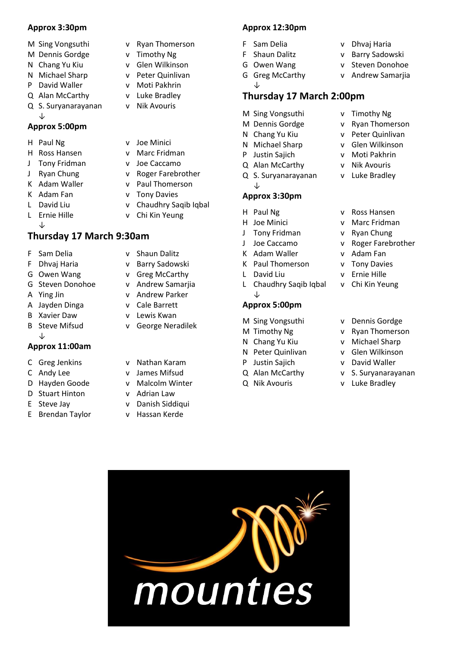#### **Approx 3:30pm**

- 
- M Dennis Gordge v Timothy Ng
- 
- N Michael Sharp v Peter Quinlivan
- P David Waller v Moti Pakhrin
- Q Alan McCarthy v Luke Bradley
- Q S. Suryanarayanan v Nik Avouris ↓

## **Approx 5:00pm**

- 
- 
- J Tony Fridman v Joe Caccamo
- 
- 
- 
- 
- 
- ↓

## **Thursday 17 March 9:30am**

- F Sam Delia v Shaun Dalitz
- F Dhvaj Haria v Barry Sadowski
- G Owen Wang v Greg McCarthy
- G Steven Donohoe v Andrew Samarjia
- A Ying Jin v Andrew Parker
- A Jayden Dinga v Cale Barrett
- B Xavier Daw v Lewis Kwan
- B Steve Mifsud v George Neradilek ↓

### **Approx 11:00am**

- C Greg Jenkins v Nathan Karam
- 
- 
- D Stuart Hinton v Adrian Law
- 
- E Brendan Taylor v Hassan Kerde
- M Sing Vongsuthi v Ryan Thomerson
	-
- N Chang Yu Kiu v Glen Wilkinson
	-
	-
	-
	-
- H Paul Ng v Joe Minici
- H Ross Hansen v Marc Fridman
	-
- J Ryan Chung v Roger Farebrother
- K Adam Waller v Paul Thomerson
- K Adam Fan v Tony Davies
- L David Liu v Chaudhry Saqib Iqbal
	-
	-
- L Ernie Hille v Chi Kin Yeung
	-
	-
	-
	-
	-
	-
	-
	-
	-
	-
- C Andy Lee v James Mifsud
- D Hayden Goode v Malcolm Winter
	-
- E Steve Jay v Danish Siddiqui
	-

## **Approx 12:30pm**

F Sam Delia v Dhvaj Haria

↓

- F Shaun Dalitz v Barry Sadowski
- G Owen Wang v Steven Donohoe
- G Greg McCarthy v Andrew Samarjia

## **Thursday 17 March 2:00pm**

- M Sing Vongsuthi v Timothy Ng
- M Dennis Gordge v Ryan Thomerson
- N Chang Yu Kiu v Peter Quinlivan
- N Michael Sharp v Glen Wilkinson
- P Justin Sajich v Moti Pakhrin
- Q Alan McCarthy v Nik Avouris
- Q S. Suryanarayanan v Luke Bradley
- ↓

#### **Approx 3:30pm**

- 
- 
- J Tony Fridman v Ryan Chung
- J Joe Caccamo v Roger Farebrother
- K Adam Waller v Adam Fan
- K Paul Thomerson v Tony Davies
- L David Liu v Ernie Hille
- L Chaudhry Saqib Iqbal v Chi Kin Yeung ↓

#### **Approx 5:00pm**

- M Sing Vongsuthi v Dennis Gordge
- M Timothy Ng v Ryan Thomerson
- N Chang Yu Kiu v Michael Sharp
- N Peter Quinlivan v Glen Wilkinson
- P Justin Sajich v David Waller
- Q Alan McCarthy v S. Suryanarayanan
- Q Nik Avouris v Luke Bradley

mounties

- H Paul Ng v Ross Hansen
- H Joe Minici v Marc Fridman
	-